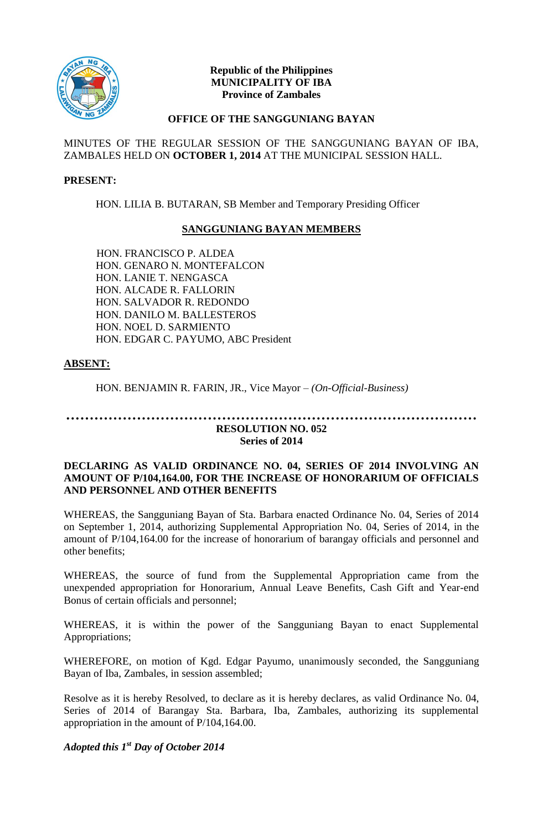

#### **Republic of the Philippines MUNICIPALITY OF IBA Province of Zambales**

#### **OFFICE OF THE SANGGUNIANG BAYAN**

MINUTES OF THE REGULAR SESSION OF THE SANGGUNIANG BAYAN OF IBA, ZAMBALES HELD ON **OCTOBER 1, 2014** AT THE MUNICIPAL SESSION HALL.

#### **PRESENT:**

HON. LILIA B. BUTARAN, SB Member and Temporary Presiding Officer

## **SANGGUNIANG BAYAN MEMBERS**

HON. FRANCISCO P. ALDEA HON. GENARO N. MONTEFALCON HON. LANIE T. NENGASCA HON. ALCADE R. FALLORIN HON. SALVADOR R. REDONDO HON. DANILO M. BALLESTEROS HON. NOEL D. SARMIENTO HON. EDGAR C. PAYUMO, ABC President

## **ABSENT:**

HON. BENJAMIN R. FARIN, JR., Vice Mayor *– (On-Official-Business)*

# **…………………………………………………………………………… RESOLUTION NO. 052**

# **Series of 2014**

#### **DECLARING AS VALID ORDINANCE NO. 04, SERIES OF 2014 INVOLVING AN AMOUNT OF P/104,164.00, FOR THE INCREASE OF HONORARIUM OF OFFICIALS AND PERSONNEL AND OTHER BENEFITS**

WHEREAS, the Sangguniang Bayan of Sta. Barbara enacted Ordinance No. 04, Series of 2014 on September 1, 2014, authorizing Supplemental Appropriation No. 04, Series of 2014, in the amount of P/104,164.00 for the increase of honorarium of barangay officials and personnel and other benefits;

WHEREAS, the source of fund from the Supplemental Appropriation came from the unexpended appropriation for Honorarium, Annual Leave Benefits, Cash Gift and Year-end Bonus of certain officials and personnel;

WHEREAS, it is within the power of the Sangguniang Bayan to enact Supplemental Appropriations;

WHEREFORE, on motion of Kgd. Edgar Payumo, unanimously seconded, the Sangguniang Bayan of Iba, Zambales, in session assembled;

Resolve as it is hereby Resolved, to declare as it is hereby declares, as valid Ordinance No. 04, Series of 2014 of Barangay Sta. Barbara, Iba, Zambales, authorizing its supplemental appropriation in the amount of P/104,164.00.

# *Adopted this 1st Day of October 2014*